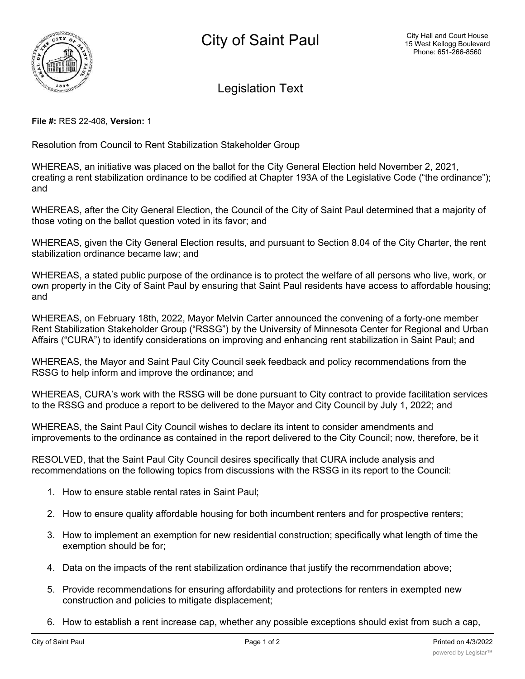

Legislation Text

## **File #:** RES 22-408, **Version:** 1

Resolution from Council to Rent Stabilization Stakeholder Group

WHEREAS, an initiative was placed on the ballot for the City General Election held November 2, 2021, creating a rent stabilization ordinance to be codified at Chapter 193A of the Legislative Code ("the ordinance"); and

WHEREAS, after the City General Election, the Council of the City of Saint Paul determined that a majority of those voting on the ballot question voted in its favor; and

WHEREAS, given the City General Election results, and pursuant to Section 8.04 of the City Charter, the rent stabilization ordinance became law; and

WHEREAS, a stated public purpose of the ordinance is to protect the welfare of all persons who live, work, or own property in the City of Saint Paul by ensuring that Saint Paul residents have access to affordable housing; and

WHEREAS, on February 18th, 2022, Mayor Melvin Carter announced the convening of a forty-one member Rent Stabilization Stakeholder Group ("RSSG") by the University of Minnesota Center for Regional and Urban Affairs ("CURA") to identify considerations on improving and enhancing rent stabilization in Saint Paul; and

WHEREAS, the Mayor and Saint Paul City Council seek feedback and policy recommendations from the RSSG to help inform and improve the ordinance; and

WHEREAS, CURA's work with the RSSG will be done pursuant to City contract to provide facilitation services to the RSSG and produce a report to be delivered to the Mayor and City Council by July 1, 2022; and

WHEREAS, the Saint Paul City Council wishes to declare its intent to consider amendments and improvements to the ordinance as contained in the report delivered to the City Council; now, therefore, be it

RESOLVED, that the Saint Paul City Council desires specifically that CURA include analysis and recommendations on the following topics from discussions with the RSSG in its report to the Council:

- 1. How to ensure stable rental rates in Saint Paul;
- 2. How to ensure quality affordable housing for both incumbent renters and for prospective renters;
- 3. How to implement an exemption for new residential construction; specifically what length of time the exemption should be for;
- 4. Data on the impacts of the rent stabilization ordinance that justify the recommendation above;
- 5. Provide recommendations for ensuring affordability and protections for renters in exempted new construction and policies to mitigate displacement;
- 6. How to establish a rent increase cap, whether any possible exceptions should exist from such a cap,